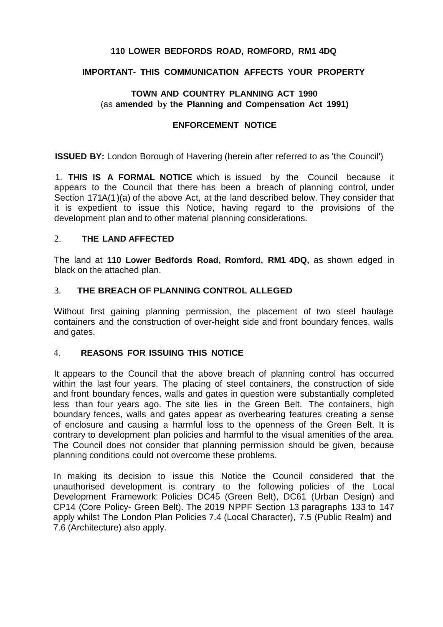# **110 LOWER BEDFORDS ROAD, ROMFORD, RM1 4DQ**

# **IMPORTANT- THIS COMMUNICATION AFFECTS YOUR PROPERTY**

# **TOWN AND COUNTRY PLANNING ACT 1990**  (as **amended by the Planning and Compensation Act 1991)**

#### **ENFORCEMENT NOTICE**

**ISSUED BY:** London Borough of Havering (herein after referred to as 'the Council')

 1. **THIS IS A FORMAL NOTICE** which is issued by the Council because it appears to the Council that there has been a breach of planning control, under Section 171A(1)(a) of the above Act, at the land described below. They consider that it is expedient to issue this Notice, having regard to the provisions of the development plan and to other material planning considerations.

# 2. **THE LAND AFFECTED**

 The land at **110 Lower Bedfords Road, Romford, RM1 4DQ,** as shown edged in black on the attached plan.

#### $\mathcal{E}$ 3. **THE BREACH OF PLANNING CONTROL ALLEGED**

 Without first gaining planning permission, the placement of two steel haulage containers and the construction of over-height side and front boundary fences, walls and gates.

### 4. **REASONS FOR ISSUING THIS NOTICE**

 It appears to the Council that the above breach of planning control has occurred within the last four years. The placing of steel containers, the construction of side and front boundary fences, walls and gates in question were substantially completed less than four years ago. The site lies in the Green Belt. The containers, high boundary fences, walls and gates appear as overbearing features creating a sense of enclosure and causing a harmful loss to the openness of the Green Belt. It is contrary to development plan policies and harmful to the visual amenities of the area. The Council does not consider that planning permission should be given, because planning conditions could not overcome these problems.

 In making its decision to issue this Notice the Council considered that the unauthorised development is contrary to the following policies of the Local Development Framework: Policies DC45 (Green Belt), DC61 (Urban Design) and CP14 (Core Policy- Green Belt). The 2019 NPPF Section 13 paragraphs 133 to 147 apply whilst The London Plan Policies 7.4 (Local Character), 7.5 (Public Realm) and 7.6 (Architecture) also apply.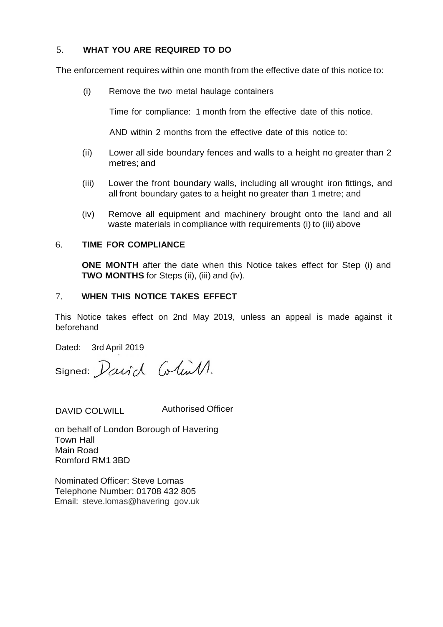# 5. **WHAT YOU ARE REQUIRED TO DO**

The enforcement requires within one month from the effective date of this notice to:

(i) Remove the two metal haulage containers

Time for compliance: 1 month from the effective date of this notice.

AND within 2 months from the effective date of this notice to:

- (ii) Lower all side boundary fences and walls to a height no greater than 2 metres; and
- (iii) Lower the front boundary walls, including all wrought iron fittings, and all front boundary gates to a height no greater than 1 metre; and
- (iv) Remove all equipment and machinery brought onto the land and all waste materials in compliance with requirements (i) to (iii) above

# 6. **TIME FOR COMPLIANCE**

**ONE MONTH** after the date when this Notice takes effect for Step (i) and  **TWO MONTHS** for Steps (ii), (iii) and (iv).

# 7. **WHEN THIS NOTICE TAKES EFFECT**

 This Notice takes effect on 2nd May 2019, unless an appeal is made against it beforehand

Dated: 3rd April 2019

signed: Darid Colin 1.

DAVID COLWILL Authorised Officer

 on behalf of London Borough of Havering Romford RM1 3BD Town Hall Main Road

 Nominated Officer: Steve Lomas Telephone Number: 01708 432 805 Email: [steve.lomas@havering](mailto:steve.lomas@havering) .gov.uk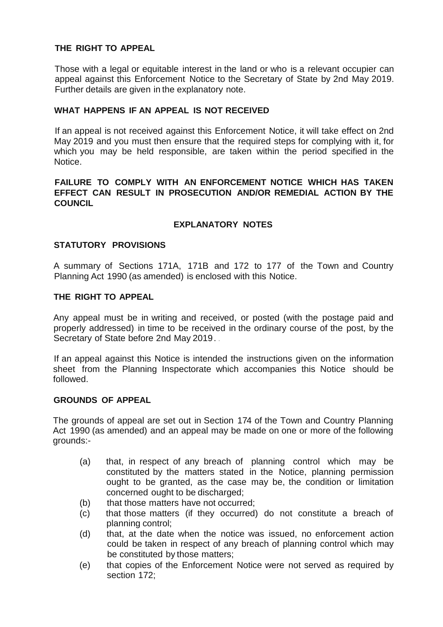# **THE RIGHT TO APPEAL**

 Those with a legal or equitable interest in the land or who is a relevant occupier can appeal against this Enforcement Notice to the Secretary of State by 2nd May 2019. Further details are given in the explanatory note.

# **WHAT HAPPENS IF AN APPEAL IS NOT RECEIVED**

 If an appeal is not received against this Enforcement Notice, it will take effect on 2nd May 2019 and you must then ensure that the required steps for complying with it, for which you may be held responsible, are taken within the period specified in the Notice.

#### **FAILURE TO COMPLY WITH AN ENFORCEMENT NOTICE WHICH HAS TAKEN EFFECT CAN RESULT IN PROSECUTION AND/OR REMEDIAL ACTION BY THE COUNCIL**

# **EXPLANATORY NOTES**

# **STATUTORY PROVISIONS**

 A summary of Sections 171A, 171B and 172 to 177 of the Town and Country Planning Act 1990 (as amended) is enclosed with this Notice.

# **THE RIGHT TO APPEAL**

 Any appeal must be in writing and received, or posted (with the postage paid and properly addressed) in time to be received in the ordinary course of the post, by the Secretary of State before 2nd May 2019. .

 If an appeal against this Notice is intended the instructions given on the information sheet from the Planning Inspectorate which accompanies this Notice should be followed.

#### **GROUNDS OF APPEAL**

 The grounds of appeal are set out in Section 174 of the Town and Country Planning Act 1990 (as amended) and an appeal may be made on one or more of the following grounds:-

- $(a)$  constituted by the matters stated in the Notice, planning permission ought to be granted, as the case may be, the condition or limitation concerned ought to be discharged; that, in respect of any breach of planning control which may be
- $(b)$ that those matters have not occurred:
- $(c)$ that those matters (if they occurred) do not constitute a breach of planning control;
- $(d)$  could be taken in respect of any breach of planning control which may be constituted by those matters; that, at the date when the notice was issued, no enforcement action
- $(e)$ that copies of the Enforcement Notice were not served as required by section 172;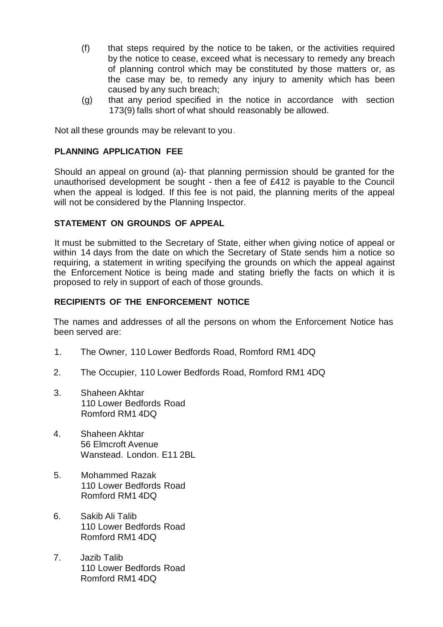- (f) that steps required by the notice to be taken, or the activities required by the notice to cease, exceed what is necessary to remedy any breach of planning control which may be constituted by those matters or, as the case may be, to remedy any injury to amenity which has been caused by any such breach;
- (g) that any period specified in the notice in accordance with section 173(9) falls short of what should reasonably be allowed.

Not all these grounds may be relevant to you.

#### **PLANNING APPLICATION FEE**

 Should an appeal on ground (a)- that planning permission should be granted for the unauthorised development be sought - then a fee of £412 is payable to the Council when the appeal is lodged. If this fee is not paid, the planning merits of the appeal will not be considered by the Planning Inspector.

# **STATEMENT ON GROUNDS OF APPEAL**

 It must be submitted to the Secretary of State, either when giving notice of appeal or within 14 days from the date on which the Secretary of State sends him a notice so requiring, a statement in writing specifying the grounds on which the appeal against the Enforcement Notice is being made and stating briefly the facts on which it is proposed to rely in support of each of those grounds.

# **RECIPIENTS OF THE ENFORCEMENT NOTICE**

 The names and addresses of all the persons on whom the Enforcement Notice has been served are:

- 1. The Owner, 110 Lower Bedfords Road, Romford RM1 4DQ
- 2. The Occupier, 110 Lower Bedfords Road, Romford RM1 4DQ
- 110 Lower Bedfords Road Romford RM1 4DQ 3. Shaheen Akhtar
- 56 Elmcroft Avenue Wanstead. London. E11 2BL 4. Shaheen Akhtar
- 110 Lower Bedfords Road Romford RM1 4DQ 5. Mohammed Razak
- 6. Sakib Ali Talib 110 Lower Bedfords Road Romford RM1 4DQ
- 110 Lower Bedfords Road Romford RM1 4DQ 7. Jazib Talib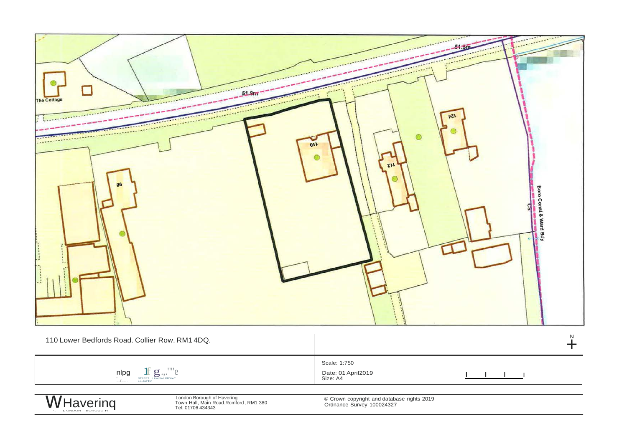| O<br>The Cottage<br>かてん<br>R<br>C<br>$\circ$<br>011<br>7.1<br>Boro Const & Ward Bdy<br>ମ୍ବ<br>$\overline{N}$                                                                                                                  |                                                |
|-------------------------------------------------------------------------------------------------------------------------------------------------------------------------------------------------------------------------------|------------------------------------------------|
| 110 Lower Bedfords Road. Collier Row. RM1 4DQ.                                                                                                                                                                                | ╋                                              |
| $\underset{\underset{\text{a.o.} \text{EaTTn} }{\overset{\text{STREE}}}{\prod} }\underset{\text{Licos5d PIII}}{\overset{\text{L}}{\sum}} \underset{\text{PIIITriel}^{\text{III}}}{\overset{\text{IIIT}}} \mathcal{C}$<br>nlpg | Scale: 1:750<br>Date: 01 April2019<br>Size: A4 |

WHavering

London Borough of Havering<br>Town Hall, Main Road, Romford, RM1 380<br>Tel: 01706 434343

© Crown copyright and database rights 2019<br>Ordnance Survey 100024327